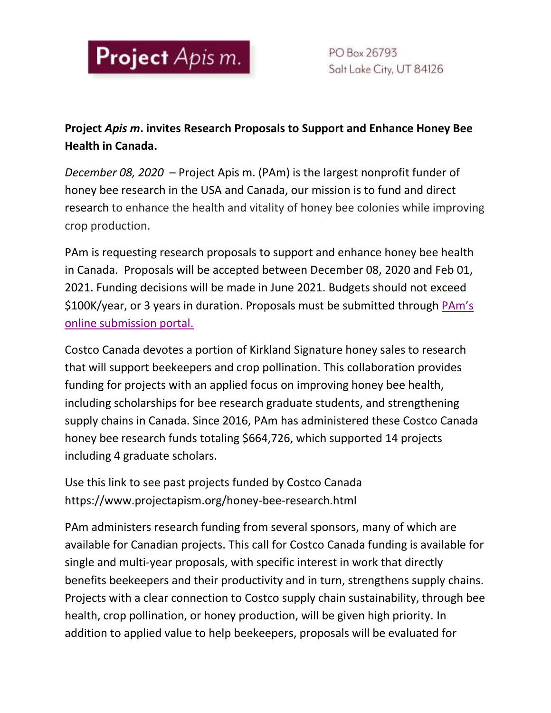

PO Box 26793 Salt Lake City, UT 84126

## **Project** *Apis m***. invites Research Proposals to Support and Enhance Honey Bee Health in Canada.**

*December 08, 2020* – Project Apis m. (PAm) is the largest nonprofit funder of honey bee research in the USA and Canada, our mission is to fund and direct research to enhance the health and vitality of honey bee colonies while improving crop production.

PAm is requesting research proposals to support and enhance honey bee health in Canada. Proposals will be accepted between December 08, 2020 and Feb 01, 2021. Funding decisions will be made in June 2021. Budgets should not exceed \$100K/year, or 3 years in duration. Proposals must be submitted through [PAm's](https://www.grantrequest.com/Login.aspx?ReturnUrl=%2fapplication.aspx%3fSA%3dSNA%26FID%3d35007%26sid%3d6057&SA=SNA&FID=35007&sid=6057)  [online submission](https://www.grantrequest.com/Login.aspx?ReturnUrl=%2fapplication.aspx%3fSA%3dSNA%26FID%3d35007%26sid%3d6057&SA=SNA&FID=35007&sid=6057) portal.

Costco Canada devotes a portion of Kirkland Signature honey sales to research that will support beekeepers and crop pollination. This collaboration provides funding for projects with an applied focus on improving honey bee health, including scholarships for bee research graduate students, and strengthening supply chains in Canada. Since 2016, PAm has administered these Costco Canada honey bee research funds totaling \$664,726, which supported 14 projects including 4 graduate scholars.

Use this link to see past projects funded by Costco Canada https://www.projectapism.org/honey-bee-research.html

PAm administers research funding from several sponsors, many of which are available for Canadian projects. This call for Costco Canada funding is available for single and multi-year proposals, with specific interest in work that directly benefits beekeepers and their productivity and in turn, strengthens supply chains. Projects with a clear connection to Costco supply chain sustainability, through bee health, crop pollination, or honey production, will be given high priority. In addition to applied value to help beekeepers, proposals will be evaluated for